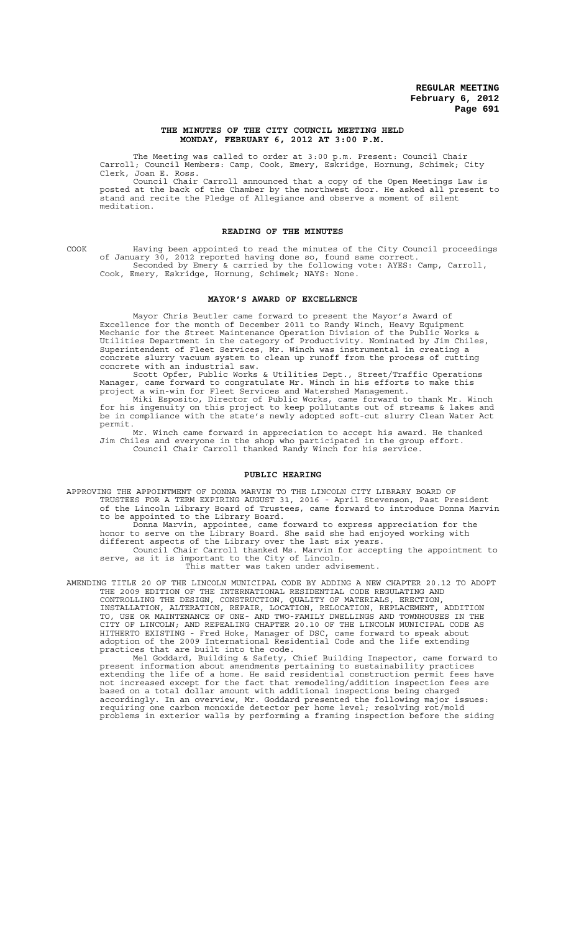### **THE MINUTES OF THE CITY COUNCIL MEETING HELD MONDAY, FEBRUARY 6, 2012 AT 3:00 P.M.**

The Meeting was called to order at 3:00 p.m. Present: Council Chair Carroll; Council Members: Camp, Cook, Emery, Eskridge, Hornung, Schimek; City Clerk, Joan E. Ross.

Council Chair Carroll announced that a copy of the Open Meetings Law is posted at the back of the Chamber by the northwest door. He asked all present to stand and recite the Pledge of Allegiance and observe a moment of silent meditation.

### **READING OF THE MINUTES**

COOK Having been appointed to read the minutes of the City Council proceedings of January 30, 2012 reported having done so, found same correct. Seconded by Emery & carried by the following vote: AYES: Camp, Carroll, Cook, Emery, Eskridge, Hornung, Schimek; NAYS: None.

### **MAYOR'S AWARD OF EXCELLENCE**

Mayor Chris Beutler came forward to present the Mayor's Award of Excellence for the month of December 2011 to Randy Winch, Heavy Equipment Mechanic for the Street Maintenance Operation Division of the Public Works & Utilities Department in the category of Productivity. Nominated by Jim Chiles, Superintendent of Fleet Services, Mr. Winch was instrumental in creating a concrete slurry vacuum system to clean up runoff from the process of cutting concrete with an industrial saw.

Scott Opfer, Public Works & Utilities Dept., Street/Traffic Operations Manager, came forward to congratulate Mr. Winch in his efforts to make this project a win-win for Fleet Services and Watershed Management.

Miki Esposito, Director of Public Works, came forward to thank Mr. Winch for his ingenuity on this project to keep pollutants out of streams & lakes and be in compliance with the state's newly adopted soft-cut slurry Clean Water Act permit.

Mr. Winch came forward in appreciation to accept his award. He thanked Jim Chiles and everyone in the shop who participated in the group effort. Council Chair Carroll thanked Randy Winch for his service.

# **PUBLIC HEARING**

APPROVING THE APPOINTMENT OF DONNA MARVIN TO THE LINCOLN CITY LIBRARY BOARD OF TRUSTEES FOR A TERM EXPIRING AUGUST 31, 2016 - April Stevenson, Past President of the Lincoln Library Board of Trustees, came forward to introduce Donna Marvin to be appointed to the Library Board.

Donna Marvin, appointee, came forward to express appreciation for the honor to serve on the Library Board. She said she had enjoyed working with different aspects of the Library over the last six years.

Council Chair Carroll thanked Ms. Marvin for accepting the appointment to serve, as it is important to the City of Lincoln. This matter was taken under advisement.

AMENDING TITLE 20 OF THE LINCOLN MUNICIPAL CODE BY ADDING A NEW CHAPTER 20.12 TO ADOPT THE 2009 EDITION OF THE INTERNATIONAL RESIDENTIAL CODE REGULATING AND

CONTROLLING THE DESIGN, CONSTRUCTION, QUALITY OF MATERIALS, ERECTION, INSTALLATION, ALTERATION, REPAIR, LOCATION, RELOCATION, REPLACEMENT, ADDITION TO, USE OR MAINTENANCE OF ONE- AND TWO-FAMILY DWELLINGS AND TOWNHOUSES IN THE CITY OF LINCOLN; AND REPEALING CHAPTER 20.10 OF THE LINCOLN MUNICIPAL CODE AS HITHERTO EXISTING - Fred Hoke, Manager of DSC, came forward to speak about adoption of the 2009 International Residential Code and the life extending practices that are built into the code.

Mel Goddard, Building & Safety, Chief Building Inspector, came forward to present information about amendments pertaining to sustainability practices extending the life of a home. He said residential construction permit fees have not increased except for the fact that remodeling/addition inspection fees are based on a total dollar amount with additional inspections being charged accordingly. In an overview, Mr. Goddard presented the following major issues: requiring one carbon monoxide detector per home level; resolving rot/mold problems in exterior walls by performing a framing inspection before the siding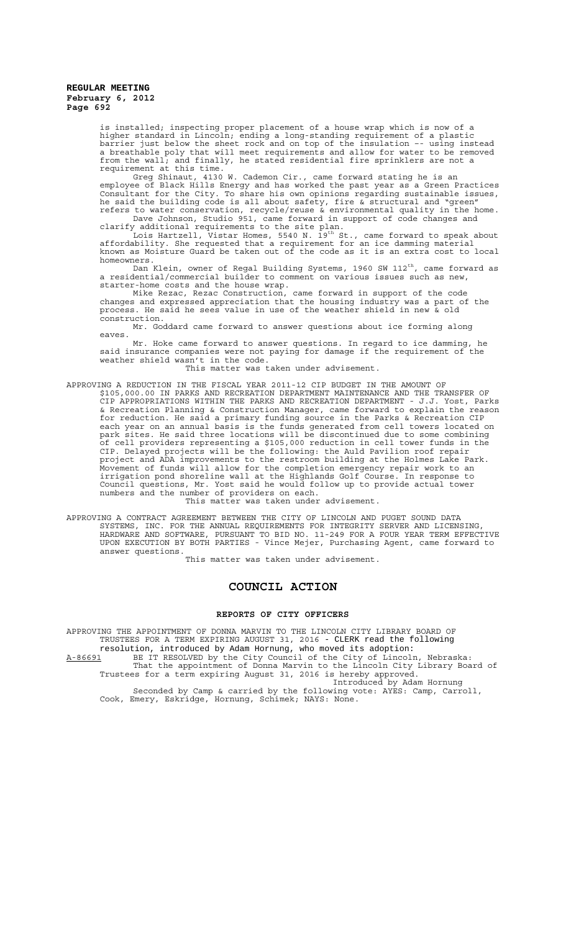is installed; inspecting proper placement of a house wrap which is now of a higher standard in Lincoln; ending a long-standing requirement of a plastic barrier just below the sheet rock and on top of the insulation –- using instead a breathable poly that will meet requirements and allow for water to be removed from the wall; and finally, he stated residential fire sprinklers are not a requirement at this time.

Greg Shinaut, 4130 W. Cademon Cir., came forward stating he is an employee of Black Hills Energy and has worked the past year as a Green Practices Consultant for the City. To share his own opinions regarding sustainable issues, he said the building code is all about safety, fire & structural and "green" refers to water conservation, recycle/reuse & environmental quality in the home. Dave Johnson, Studio 951, came forward in support of code changes and

clarify additional requirements to the site plan.<br>Lois Hartzell, Vistar Homes, 5540 N. 19<sup>th</sup> St., came forward to speak about affordability. She requested that a requirement for an ice damming material known as Moisture Guard be taken out of the code as it is an extra cost to local homeowners.

Dan Klein, owner of Regal Building Systems, 1960 SW 112 $^{\rm th}$ , came forward as a residential/commercial builder to comment on various issues such as new, starter-home costs and the house wrap.

Mike Rezac, Rezac Construction, came forward in support of the code changes and expressed appreciation that the housing industry was a part of the process. He said he sees value in use of the weather shield in new & old construction.

Mr. Goddard came forward to answer questions about ice forming along eaves.

Mr. Hoke came forward to answer questions. In regard to ice damming, he said insurance companies were not paying for damage if the requirement of the weather shield wasn't in the code.

### This matter was taken under advisement.

APPROVING A REDUCTION IN THE FISCAL YEAR 2011-12 CIP BUDGET IN THE AMOUNT OF \$105,000.00 IN PARKS AND RECREATION DEPARTMENT MAINTENANCE AND THE TRANSFER OF CIP APPROPRIATIONS WITHIN THE PARKS AND RECREATION DEPARTMENT - J.J. Yost, Parks & Recreation Planning & Construction Manager, came forward to explain the reason for reduction. He said a primary funding source in the Parks & Recreation CIP each year on an annual basis is the funds generated from cell towers located on park sites. He said three locations will be discontinued due to some combining of cell providers representing a \$105,000 reduction in cell tower funds in the CIP. Delayed projects will be the following: the Auld Pavilion roof repair project and ADA improvements to the restroom building at the Holmes Lake Park. Movement of funds will allow for the completion emergency repair work to an irrigation pond shoreline wall at the Highlands Golf Course. In response to Council questions, Mr. Yost said he would follow up to provide actual tower numbers and the number of providers on each. This matter was taken under advisement.

APPROVING A CONTRACT AGREEMENT BETWEEN THE CITY OF LINCOLN AND PUGET SOUND DATA SYSTEMS, INC. FOR THE ANNUAL REQUIREMENTS FOR INTEGRITY SERVER AND LICENSING, HARDWARE AND SOFTWARE, PURSUANT TO BID NO. 11-249 FOR A FOUR YEAR TERM EFFECTIVE UPON EXECUTION BY BOTH PARTIES - Vince Mejer, Purchasing Agent, came forward to answer questions.

This matter was taken under advisement.

# **COUNCIL ACTION**

### **REPORTS OF CITY OFFICERS**

APPROVING THE APPOINTMENT OF DONNA MARVIN TO THE LINCOLN CITY LIBRARY BOARD OF TRUSTEES FOR A TERM EXPIRING AUGUST 31, 2016 - CLERK read the following resolution, introduced by Adam Hornung, who moved its adoption:

A-86691 BE IT RESOLVED by the City Council of the City of Lincoln, Nebraska: That the appointment of Donna Marvin to the Lincoln City Library Board of Trustees for a term expiring August 31, 2016 is hereby approved.

Introduced by Adam Hornung

Seconded by Camp & carried by the following vote: AYES: Camp, Carroll, Cook, Emery, Eskridge, Hornung, Schimek; NAYS: None.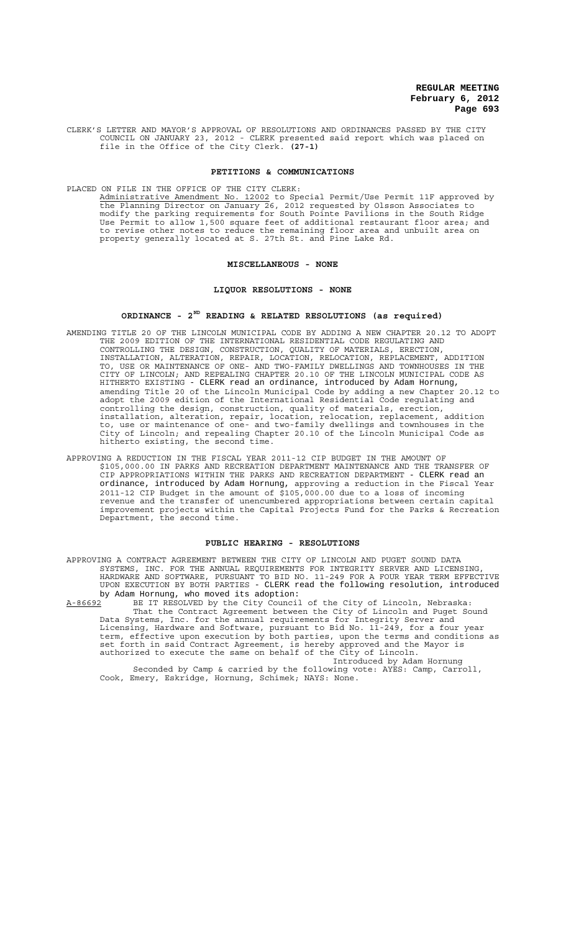CLERK'S LETTER AND MAYOR'S APPROVAL OF RESOLUTIONS AND ORDINANCES PASSED BY THE CITY COUNCIL ON JANUARY 23, 2012 - CLERK presented said report which was placed on file in the Office of the City Clerk. **(27-1)**

# **PETITIONS & COMMUNICATIONS**

PLACED ON FILE IN THE OFFICE OF THE CITY CLERK:

Administrative Amendment No. 12002 to Special Permit/Use Permit 11F approved by the Planning Director on January 26, 2012 requested by Olsson Associates to modify the parking requirements for South Pointe Pavilions in the South Ridge Use Permit to allow 1,500 square feet of additional restaurant floor area; and to revise other notes to reduce the remaining floor area and unbuilt area on property generally located at S. 27th St. and Pine Lake Rd.

#### **MISCELLANEOUS - NONE**

### **LIQUOR RESOLUTIONS - NONE**

# **ORDINANCE - 2ND READING & RELATED RESOLUTIONS (as required)**

- AMENDING TITLE 20 OF THE LINCOLN MUNICIPAL CODE BY ADDING A NEW CHAPTER 20.12 TO ADOPT THE 2009 EDITION OF THE INTERNATIONAL RESIDENTIAL CODE REGULATING AND CONTROLLING THE DESIGN, CONSTRUCTION, QUALITY OF MATERIALS, ERECTION, INSTALLATION, ALTERATION, REPAIR, LOCATION, RELOCATION, REPLACEMENT, ADDITION TO, USE OR MAINTENANCE OF ONE- AND TWO-FAMILY DWELLINGS AND TOWNHOUSES IN THE CITY OF LINCOLN; AND REPEALING CHAPTER 20.10 OF THE LINCOLN MUNICIPAL CODE AS HITHERTO EXISTING - CLERK read an ordinance, introduced by Adam Hornung, amending Title 20 of the Lincoln Municipal Code by adding a new Chapter 20.12 to adopt the 2009 edition of the International Residential Code regulating and controlling the design, construction, quality of materials, erection, installation, alteration, repair, location, relocation, replacement, addition to, use or maintenance of one- and two-family dwellings and townhouses in the City of Lincoln; and repealing Chapter 20.10 of the Lincoln Municipal Code as hitherto existing, the second time.
- APPROVING A REDUCTION IN THE FISCAL YEAR 2011-12 CIP BUDGET IN THE AMOUNT OF \$105,000.00 IN PARKS AND RECREATION DEPARTMENT MAINTENANCE AND THE TRANSFER OF CIP APPROPRIATIONS WITHIN THE PARKS AND RECREATION DEPARTMENT - CLERK read an ordinance, introduced by Adam Hornung, approving a reduction in the Fiscal Year 2011-12 CIP Budget in the amount of \$105,000.00 due to a loss of incoming revenue and the transfer of unencumbered appropriations between certain capital improvement projects within the Capital Projects Fund for the Parks & Recreation Department, the second time.

### **PUBLIC HEARING - RESOLUTIONS**

APPROVING A CONTRACT AGREEMENT BETWEEN THE CITY OF LINCOLN AND PUGET SOUND DATA SYSTEMS, INC. FOR THE ANNUAL REQUIREMENTS FOR INTEGRITY SERVER AND LICENSING, HARDWARE AND SOFTWARE, PURSUANT TO BID NO. 11-249 FOR A FOUR YEAR TERM EFFECTIVE UPON EXECUTION BY BOTH PARTIES - CLERK read the following resolution, introduced by Adam Hornung, who moved its adoption:

A-86692 BE IT RESOLVED by the City Council of the City of Lincoln, Nebraska: That the Contract Agreement between the City of Lincoln and Puget Sound Data Systems, Inc. for the annual requirements for Integrity Server and Licensing, Hardware and Software, pursuant to Bid No. 11-249, for a four year term, effective upon execution by both parties, upon the terms and conditions as set forth in said Contract Agreement, is hereby approved and the Mayor is authorized to execute the same on behalf of the City of Lincoln.

Introduced by Adam Hornung Seconded by Camp & carried by the following vote: AYES: Camp, Carroll, Cook, Emery, Eskridge, Hornung, Schimek; NAYS: None.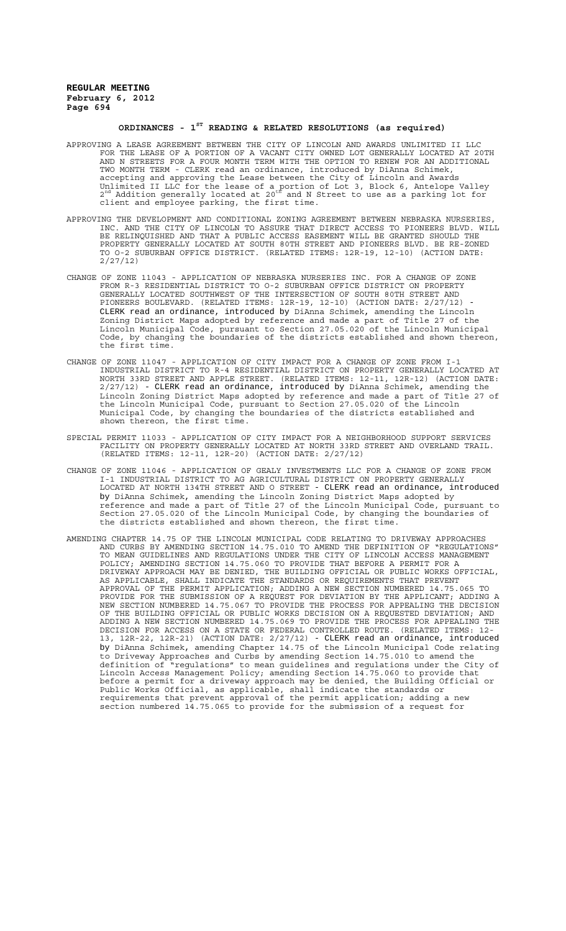# **ORDINANCES - 1ST READING & RELATED RESOLUTIONS (as required)**

- APPROVING A LEASE AGREEMENT BETWEEN THE CITY OF LINCOLN AND AWARDS UNLIMITED II LLC FOR THE LEASE OF A PORTION OF A VACANT CITY OWNED LOT GENERALLY LOCATED AT 20TH AND N STREETS FOR A FOUR MONTH TERM WITH THE OPTION TO RENEW FOR AN ADDITIONAL TWO MONTH TERM - CLERK read an ordinance, introduced by DiAnna Schimek, accepting and approving the Lease between the City of Lincoln and Awards Unlimited II LLC for the lease of a portion of Lot 3, Block 6, Antelope Valley<br>2<sup>nd</sup> Addition generally located at 20<sup>th</sup> and N Street to use as a parking lot for client and employee parking, the first time.
- APPROVING THE DEVELOPMENT AND CONDITIONAL ZONING AGREEMENT BETWEEN NEBRASKA NURSERIES, INC. AND THE CITY OF LINCOLN TO ASSURE THAT DIRECT ACCESS TO PIONEERS BLVD. WILL BE RELINQUISHED AND THAT A PUBLIC ACCESS EASEMENT WILL BE GRANTED SHOULD THE PROPERTY GENERALLY LOCATED AT SOUTH 80TH STREET AND PIONEERS BLVD. BE RE-ZONED TO O-2 SUBURBAN OFFICE DISTRICT. (RELATED ITEMS: 12R-19, 12-10) (ACTION DATE: 2/27/12)
- CHANGE OF ZONE 11043 APPLICATION OF NEBRASKA NURSERIES INC. FOR A CHANGE OF ZONE FROM R-3 RESIDENTIAL DISTRICT TO O-2 SUBURBAN OFFICE DISTRICT ON PROPERTY GENERALLY LOCATED SOUTHWEST OF THE INTERSECTION OF SOUTH 80TH STREET AND PIONEERS BOULEVARD. (RELATED ITEMS: 12R-19, 12-10) (ACTION DATE: 2/27/12) - CLERK read an ordinance, introduced by DiAnna Schimek, amending the Lincoln Zoning District Maps adopted by reference and made a part of Title 27 of the Lincoln Municipal Code, pursuant to Section 27.05.020 of the Lincoln Municipal Code, by changing the boundaries of the districts established and shown thereon, the first time.
- CHANGE OF ZONE 11047 APPLICATION OF CITY IMPACT FOR A CHANGE OF ZONE FROM I-1 INDUSTRIAL DISTRICT TO R-4 RESIDENTIAL DISTRICT ON PROPERTY GENERALLY LOCATED AT NORTH 33RD STREET AND APPLE STREET. (RELATED ITEMS: 12-11, 12R-12) (ACTION DATE: 2/27/12) - CLERK read an ordinance, introduced by DiAnna Schimek, amending the Lincoln Zoning District Maps adopted by reference and made a part of Title 27 of the Lincoln Municipal Code, pursuant to Section 27.05.020 of the Lincoln Municipal Code, by changing the boundaries of the districts established and shown thereon, the first time.
- SPECIAL PERMIT 11033 APPLICATION OF CITY IMPACT FOR A NEIGHBORHOOD SUPPORT SERVICES FACILITY ON PROPERTY GENERALLY LOCATED AT NORTH 33RD STREET AND OVERLAND TRAIL. (RELATED ITEMS: 12-11, 12R-20) (ACTION DATE: 2/27/12)
- CHANGE OF ZONE 11046 APPLICATION OF GEALY INVESTMENTS LLC FOR A CHANGE OF ZONE FROM I-1 INDUSTRIAL DISTRICT TO AG AGRICULTURAL DISTRICT ON PROPERTY GENERALLY LOCATED AT NORTH 134TH STREET AND O STREET - CLERK read an ordinance, introduced by DiAnna Schimek, amending the Lincoln Zoning District Maps adopted by reference and made a part of Title 27 of the Lincoln Municipal Code, pursuant to Section 27.05.020 of the Lincoln Municipal Code, by changing the boundaries of the districts established and shown thereon, the first time.
- AMENDING CHAPTER 14.75 OF THE LINCOLN MUNICIPAL CODE RELATING TO DRIVEWAY APPROACHES AND CURBS BY AMENDING SECTION 14.75.010 TO AMEND THE DEFINITION OF "REGULATIONS" TO MEAN GUIDELINES AND REGULATIONS UNDER THE CITY OF LINCOLN ACCESS MANAGEMENT POLICY; AMENDING SECTION 14.75.060 TO PROVIDE THAT BEFORE A PERMIT FOR A DRIVEWAY APPROACH MAY BE DENIED, THE BUILDING OFFICIAL OR PUBLIC WORKS OFFICIAL, AS APPLICABLE, SHALL INDICATE THE STANDARDS OR REQUIREMENTS THAT PREVENT APPROVAL OF THE PERMIT APPLICATION; ADDING A NEW SECTION NUMBERED 14.75.065 TO PROVIDE FOR THE SUBMISSION OF A REQUEST FOR DEVIATION BY THE APPLICANT; ADDING A NEW SECTION NUMBERED 14.75.067 TO PROVIDE THE PROCESS FOR APPEALING THE DECISION OF THE BUILDING OFFICIAL OR PUBLIC WORKS DECISION ON A REQUESTED DEVIATION; AND ADDING A NEW SECTION NUMBERED 14.75.069 TO PROVIDE THE PROCESS FOR APPEALING THE DECISION FOR ACCESS ON A STATE OR FEDERAL CONTROLLED ROUTE. (RELATED ITEMS: 12- 13, 12R-22, 12R-21) (ACTION DATE: 2/27/12) - CLERK read an ordinance, introduced by DiAnna Schimek, amending Chapter 14.75 of the Lincoln Municipal Code relating to Driveway Approaches and Curbs by amending Section 14.75.010 to amend the definition of "regulations" to mean guidelines and regulations under the City of Lincoln Access Management Policy; amending Section 14.75.060 to provide that before a permit for a driveway approach may be denied, the Building Official or Public Works Official, as applicable, shall indicate the standards or requirements that prevent approval of the permit application; adding a new section numbered 14.75.065 to provide for the submission of a request for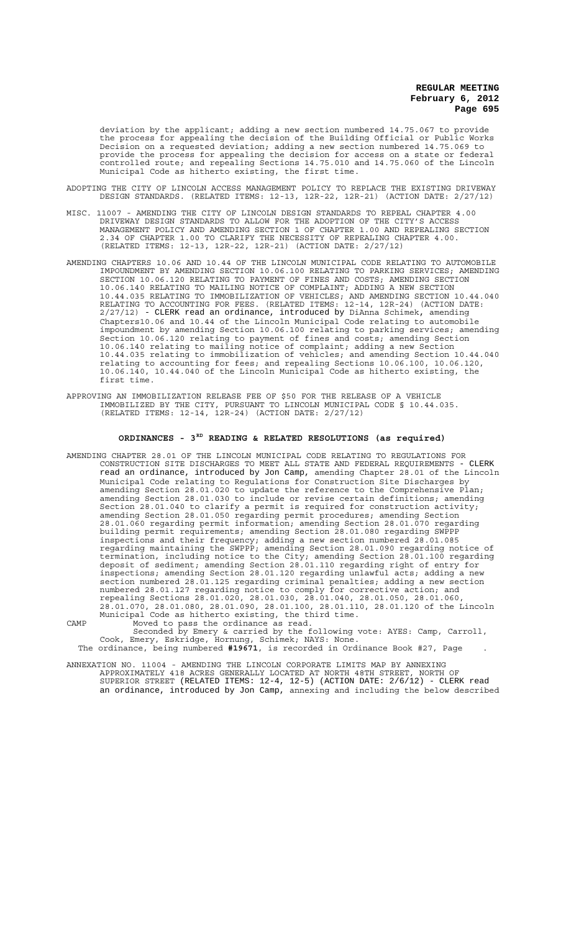deviation by the applicant; adding a new section numbered 14.75.067 to provide the process for appealing the decision of the Building Official or Public Works Decision on a requested deviation; adding a new section numbered 14.75.069 to provide the process for appealing the decision for access on a state or federal controlled route; and repealing Sections 14.75.010 and 14.75.060 of the Lincoln Municipal Code as hitherto existing, the first time.

- ADOPTING THE CITY OF LINCOLN ACCESS MANAGEMENT POLICY TO REPLACE THE EXISTING DRIVEWAY DESIGN STANDARDS. (RELATED ITEMS: 12-13, 12R-22, 12R-21) (ACTION DATE: 2/27/12)
- MISC. 11007 AMENDING THE CITY OF LINCOLN DESIGN STANDARDS TO REPEAL CHAPTER 4.00 DRIVEWAY DESIGN STANDARDS TO ALLOW FOR THE ADOPTION OF THE CITY'S ACCESS MANAGEMENT POLICY AND AMENDING SECTION 1 OF CHAPTER 1.00 AND REPEALING SECTION 2.34 OF CHAPTER 1.00 TO CLARIFY THE NECESSITY OF REPEALING CHAPTER 4.00. (RELATED ITEMS: 12-13, 12R-22, 12R-21) (ACTION DATE: 2/27/12)
- AMENDING CHAPTERS 10.06 AND 10.44 OF THE LINCOLN MUNICIPAL CODE RELATING TO AUTOMOBILE IMPOUNDMENT BY AMENDING SECTION 10.06.100 RELATING TO PARKING SERVICES; AMENDING SECTION 10.06.120 RELATING TO PAYMENT OF FINES AND COSTS; AMENDING SECTION 10.06.140 RELATING TO MAILING NOTICE OF COMPLAINT; ADDING A NEW SECTION 10.44.035 RELATING TO IMMOBILIZATION OF VEHICLES; AND AMENDING SECTION 10.44.040 RELATING TO ACCOUNTING FOR FEES. (RELATED ITEMS: 12-14, 12R-24) (ACTION DATE: 2/27/12) - CLERK read an ordinance, introduced by DiAnna Schimek, amending Chapters10.06 and 10.44 of the Lincoln Municipal Code relating to automobile impoundment by amending Section 10.06.100 relating to parking services; amending Section 10.06.120 relating to payment of fines and costs; amending Section 10.06.140 relating to mailing notice of complaint; adding a new Section 10.44.035 relating to immobilization of vehicles; and amending Section 10.44.040 relating to accounting for fees; and repealing Sections 10.06.100, 10.06.120, 10.06.140, 10.44.040 of the Lincoln Municipal Code as hitherto existing, the first time.
- APPROVING AN IMMOBILIZATION RELEASE FEE OF \$50 FOR THE RELEASE OF A VEHICLE IMMOBILIZED BY THE CITY, PURSUANT TO LINCOLN MUNICIPAL CODE § 10.44.035. (RELATED ITEMS: 12-14, 12R-24) (ACTION DATE: 2/27/12)

### **ORDINANCES - 3RD READING & RELATED RESOLUTIONS (as required)**

AMENDING CHAPTER 28.01 OF THE LINCOLN MUNICIPAL CODE RELATING TO REGULATIONS FOR CONSTRUCTION SITE DISCHARGES TO MEET ALL STATE AND FEDERAL REQUIREMENTS - CLERK read an ordinance, introduced by Jon Camp, amending Chapter 28.01 of the Lincoln Municipal Code relating to Regulations for Construction Site Discharges by amending Section 28.01.020 to update the reference to the Comprehensive Plan; amending Section 28.01.030 to include or revise certain definitions; amending Section 28.01.040 to clarify a permit is required for construction activity; amending Section 28.01.050 regarding permit procedures; amending Section 28.01.060 regarding permit information; amending Section 28.01.070 regarding building permit requirements; amending Section 28.01.080 regarding SWPPP inspections and their frequency; adding a new section numbered 28.01.085 regarding maintaining the SWPPP; amending Section 28.01.090 regarding notice of termination, including notice to the City; amending Section 28.01.100 regarding deposit of sediment; amending Section 28.01.110 regarding right of entry for inspections; amending Section 28.01.120 regarding unlawful acts; adding a new section numbered 28.01.125 regarding criminal penalties; adding a new section numbered 28.01.127 regarding notice to comply for corrective action; and repealing Sections 28.01.020, 28.01.030, 28.01.040, 28.01.050, 28.01.060, 28.01.070, 28.01.080, 28.01.090, 28.01.100, 28.01.110, 28.01.120 of the Lincoln Municipal Code as hitherto existing, the third time.

CAMP Moved to pass the ordinance as read. Seconded by Emery & carried by the following vote: AYES: Camp, Carroll, Cook, Emery, Eskridge, Hornung, Schimek; NAYS: None. The ordinance, being numbered **#19671**, is recorded in Ordinance Book #27, Page .

ANNEXATION NO. 11004 - AMENDING THE LINCOLN CORPORATE LIMITS MAP BY ANNEXING APPROXIMATELY 418 ACRES GENERALLY LOCATED AT NORTH 48TH STREET, NORTH OF SUPERIOR STREET (RELATED ITEMS: 12-4, 12-5) (ACTION DATE: 2/6/12) - CLERK read an ordinance, introduced by Jon Camp, annexing and including the below described